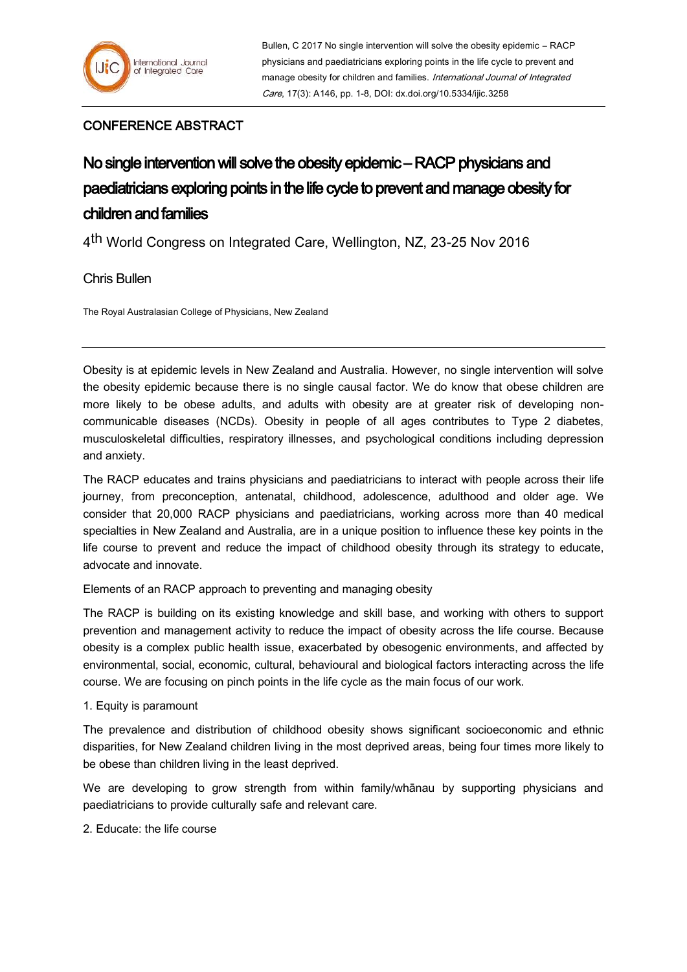## CONFERENCE ABSTRACT

# No single intervention will solve the obesity epidemic – RACP physicians and paediatricians exploring points in the life cycle to prevent and manage obesity for children and families

4<sup>th</sup> World Congress on Integrated Care, Wellington, NZ, 23-25 Nov 2016

## Chris Bullen

The Royal Australasian College of Physicians, New Zealand

Obesity is at epidemic levels in New Zealand and Australia. However, no single intervention will solve the obesity epidemic because there is no single causal factor. We do know that obese children are more likely to be obese adults, and adults with obesity are at greater risk of developing noncommunicable diseases (NCDs). Obesity in people of all ages contributes to Type 2 diabetes, musculoskeletal difficulties, respiratory illnesses, and psychological conditions including depression and anxiety.

The RACP educates and trains physicians and paediatricians to interact with people across their life journey, from preconception, antenatal, childhood, adolescence, adulthood and older age. We consider that 20,000 RACP physicians and paediatricians, working across more than 40 medical specialties in New Zealand and Australia, are in a unique position to influence these key points in the life course to prevent and reduce the impact of childhood obesity through its strategy to educate, advocate and innovate.

Elements of an RACP approach to preventing and managing obesity

The RACP is building on its existing knowledge and skill base, and working with others to support prevention and management activity to reduce the impact of obesity across the life course. Because obesity is a complex public health issue, exacerbated by obesogenic environments, and affected by environmental, social, economic, cultural, behavioural and biological factors interacting across the life course. We are focusing on pinch points in the life cycle as the main focus of our work.

1. Equity is paramount

The prevalence and distribution of childhood obesity shows significant socioeconomic and ethnic disparities, for New Zealand children living in the most deprived areas, being four times more likely to be obese than children living in the least deprived.

We are developing to grow strength from within family/whānau by supporting physicians and paediatricians to provide culturally safe and relevant care.

2. Educate: the life course